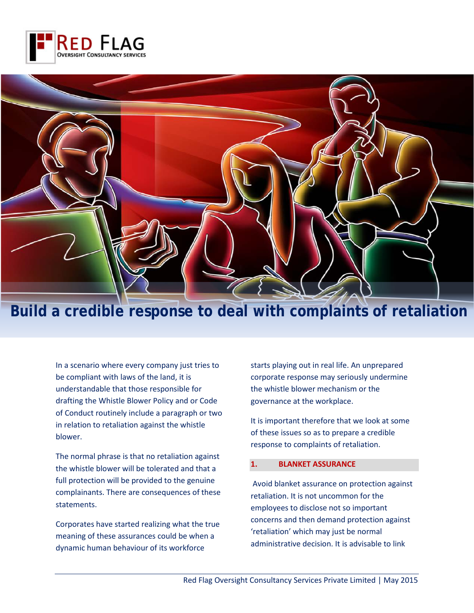



# **Build a credible response to deal with complaints of retaliation**

In a scenario where every company just tries to be compliant with laws of the land, it is understandable that those responsible for drafting the Whistle Blower Policy and or Code of Conduct routinely include a paragraph or two in relation to retaliation against the whistle blower.

The normal phrase is that no retaliation against the whistle blower will be tolerated and that a full protection will be provided to the genuine complainants. There are consequences of these statements.

Corporates have started realizing what the true meaning of these assurances could be when a dynamic human behaviour of its workforce

starts playing out in real life. An unprepared corporate response may seriously undermine the whistle blower mechanism or the governance at the workplace.

It is important therefore that we look at some of these issues so as to prepare a credible response to complaints of retaliation.

#### **1. BLANKET ASSURANCE**

Avoid blanket assurance on protection against retaliation. It is not uncommon for the employees to disclose not so important concerns and then demand protection against 'retaliation' which may just be normal administrative decision. It is advisable to link